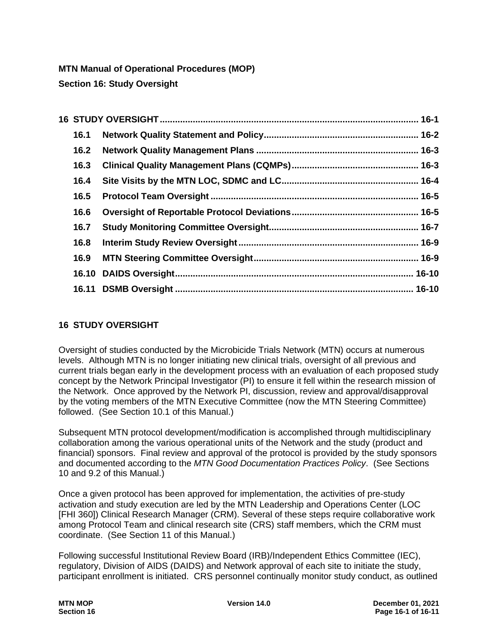**MTN Manual of Operational Procedures (MOP) Section 16: Study Oversight**

| 16.1 |  |
|------|--|
| 16.2 |  |
| 16.3 |  |
| 16.4 |  |
| 16.5 |  |
| 16.6 |  |
| 16.7 |  |
| 16.8 |  |
| 16.9 |  |
|      |  |
|      |  |

## <span id="page-0-0"></span>**16 STUDY OVERSIGHT**

Oversight of studies conducted by the Microbicide Trials Network (MTN) occurs at numerous levels. Although MTN is no longer initiating new clinical trials, oversight of all previous and current trials began early in the development process with an evaluation of each proposed study concept by the Network Principal Investigator (PI) to ensure it fell within the research mission of the Network. Once approved by the Network PI, discussion, review and approval/disapproval by the voting members of the MTN Executive Committee (now the MTN Steering Committee) followed. (See Section 10.1 of this Manual.)

Subsequent MTN protocol development/modification is accomplished through multidisciplinary collaboration among the various operational units of the Network and the study (product and financial) sponsors. Final review and approval of the protocol is provided by the study sponsors and documented according to the *MTN Good Documentation Practices Policy*. (See Sections 10 and 9.2 of this Manual.)

Once a given protocol has been approved for implementation, the activities of pre-study activation and study execution are led by the MTN Leadership and Operations Center (LOC [FHI 360]) Clinical Research Manager (CRM). Several of these steps require collaborative work among Protocol Team and clinical research site (CRS) staff members, which the CRM must coordinate. (See Section 11 of this Manual.)

Following successful Institutional Review Board (IRB)/Independent Ethics Committee (IEC), regulatory, Division of AIDS (DAIDS) and Network approval of each site to initiate the study, participant enrollment is initiated. CRS personnel continually monitor study conduct, as outlined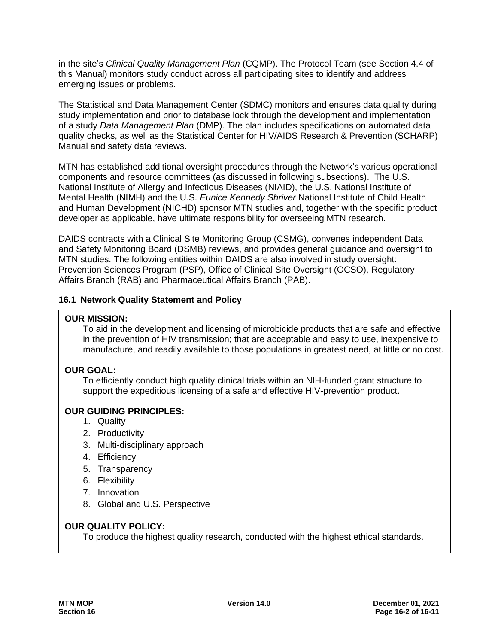in the site's *Clinical Quality Management Plan* (CQMP). The Protocol Team (see Section 4.4 of this Manual) monitors study conduct across all participating sites to identify and address emerging issues or problems.

The Statistical and Data Management Center (SDMC) monitors and ensures data quality during study implementation and prior to database lock through the development and implementation of a study *Data Management Plan* (DMP). The plan includes specifications on automated data quality checks, as well as the Statistical Center for HIV/AIDS Research & Prevention (SCHARP) Manual and safety data reviews.

MTN has established additional oversight procedures through the Network's various operational components and resource committees (as discussed in following subsections). The U.S. National Institute of Allergy and Infectious Diseases (NIAID), the U.S. National Institute of Mental Health (NIMH) and the U.S. *Eunice Kennedy Shriver* National Institute of Child Health and Human Development (NICHD) sponsor MTN studies and, together with the specific product developer as applicable, have ultimate responsibility for overseeing MTN research.

DAIDS contracts with a Clinical Site Monitoring Group (CSMG), convenes independent Data and Safety Monitoring Board (DSMB) reviews, and provides general guidance and oversight to MTN studies. The following entities within DAIDS are also involved in study oversight: Prevention Sciences Program (PSP), Office of Clinical Site Oversight (OCSO), Regulatory Affairs Branch (RAB) and Pharmaceutical Affairs Branch (PAB).

### <span id="page-1-0"></span>**16.1 Network Quality Statement and Policy**

#### **OUR MISSION:**

To aid in the development and licensing of microbicide products that are safe and effective in the prevention of HIV transmission; that are acceptable and easy to use, inexpensive to manufacture, and readily available to those populations in greatest need, at little or no cost.

### **OUR GOAL:**

To efficiently conduct high quality clinical trials within an NIH-funded grant structure to support the expeditious licensing of a safe and effective HIV-prevention product.

### **OUR GUIDING PRINCIPLES:**

- 1. Quality
- 2. Productivity
- 3. Multi-disciplinary approach
- 4. Efficiency
- 5. Transparency
- 6. Flexibility
- 7. Innovation
- 8. Global and U.S. Perspective

#### **OUR QUALITY POLICY:**

To produce the highest quality research, conducted with the highest ethical standards.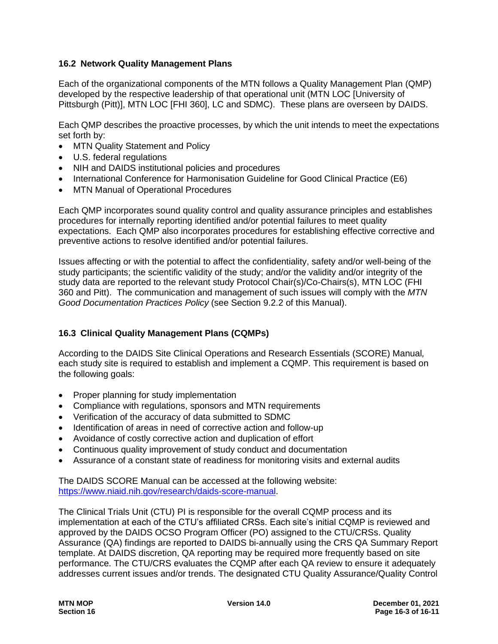#### <span id="page-2-0"></span>**16.2 Network Quality Management Plans**

Each of the organizational components of the MTN follows a Quality Management Plan (QMP) developed by the respective leadership of that operational unit (MTN LOC [University of Pittsburgh (Pitt)], MTN LOC [FHI 360], LC and SDMC). These plans are overseen by DAIDS.

Each QMP describes the proactive processes, by which the unit intends to meet the expectations set forth by:

- MTN Quality Statement and Policy
- U.S. federal regulations
- NIH and DAIDS institutional policies and procedures
- International Conference for Harmonisation Guideline for Good Clinical Practice (E6)
- MTN Manual of Operational Procedures

Each QMP incorporates sound quality control and quality assurance principles and establishes procedures for internally reporting identified and/or potential failures to meet quality expectations. Each QMP also incorporates procedures for establishing effective corrective and preventive actions to resolve identified and/or potential failures.

Issues affecting or with the potential to affect the confidentiality, safety and/or well-being of the study participants; the scientific validity of the study; and/or the validity and/or integrity of the study data are reported to the relevant study Protocol Chair(s)/Co-Chairs(s), MTN LOC (FHI 360 and Pitt). The communication and management of such issues will comply with the *MTN Good Documentation Practices Policy* (see Section 9.2.2 of this Manual).

### <span id="page-2-1"></span>**16.3 Clinical Quality Management Plans (CQMPs)**

According to the DAIDS Site Clinical Operations and Research Essentials (SCORE) Manual*,* each study site is required to establish and implement a CQMP. This requirement is based on the following goals:

- Proper planning for study implementation
- Compliance with regulations, sponsors and MTN requirements
- Verification of the accuracy of data submitted to SDMC
- Identification of areas in need of corrective action and follow-up
- Avoidance of costly corrective action and duplication of effort
- Continuous quality improvement of study conduct and documentation
- Assurance of a constant state of readiness for monitoring visits and external audits

The DAIDS SCORE Manual can be accessed at the following website: [https://www.niaid.nih.gov/research/daids-score-manual.](https://www.niaid.nih.gov/research/daids-score-manual)

The Clinical Trials Unit (CTU) PI is responsible for the overall CQMP process and its implementation at each of the CTU's affiliated CRSs. Each site's initial CQMP is reviewed and approved by the DAIDS OCSO Program Officer (PO) assigned to the CTU/CRSs. Quality Assurance (QA) findings are reported to DAIDS bi-annually using the CRS QA Summary Report template. At DAIDS discretion, QA reporting may be required more frequently based on site performance. The CTU/CRS evaluates the CQMP after each QA review to ensure it adequately addresses current issues and/or trends. The designated CTU Quality Assurance/Quality Control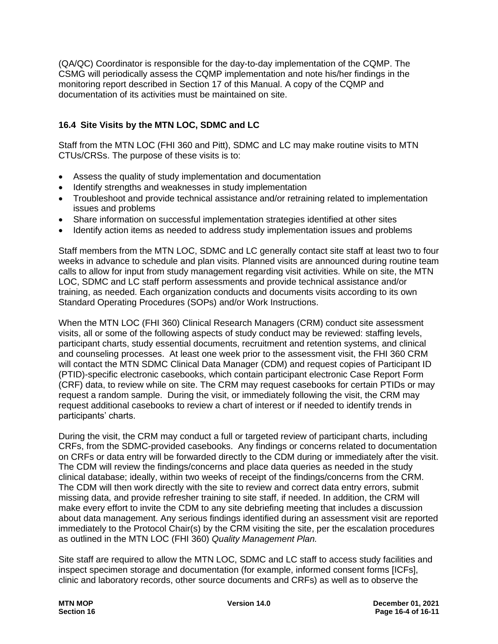(QA/QC) Coordinator is responsible for the day-to-day implementation of the CQMP. The CSMG will periodically assess the CQMP implementation and note his/her findings in the monitoring report described in Section 17 of this Manual. A copy of the CQMP and documentation of its activities must be maintained on site.

## <span id="page-3-0"></span>**16.4 Site Visits by the MTN LOC, SDMC and LC**

Staff from the MTN LOC (FHI 360 and Pitt), SDMC and LC may make routine visits to MTN CTUs/CRSs. The purpose of these visits is to:

- Assess the quality of study implementation and documentation
- Identify strengths and weaknesses in study implementation
- Troubleshoot and provide technical assistance and/or retraining related to implementation issues and problems
- Share information on successful implementation strategies identified at other sites
- Identify action items as needed to address study implementation issues and problems

Staff members from the MTN LOC, SDMC and LC generally contact site staff at least two to four weeks in advance to schedule and plan visits. Planned visits are announced during routine team calls to allow for input from study management regarding visit activities. While on site, the MTN LOC, SDMC and LC staff perform assessments and provide technical assistance and/or training, as needed. Each organization conducts and documents visits according to its own Standard Operating Procedures (SOPs) and/or Work Instructions.

When the MTN LOC (FHI 360) Clinical Research Managers (CRM) conduct site assessment visits, all or some of the following aspects of study conduct may be reviewed: staffing levels, participant charts, study essential documents, recruitment and retention systems, and clinical and counseling processes. At least one week prior to the assessment visit, the FHI 360 CRM will contact the MTN SDMC Clinical Data Manager (CDM) and request copies of Participant ID (PTID)-specific electronic casebooks, which contain participant electronic Case Report Form (CRF) data, to review while on site. The CRM may request casebooks for certain PTIDs or may request a random sample. During the visit, or immediately following the visit, the CRM may request additional casebooks to review a chart of interest or if needed to identify trends in participants' charts.

During the visit, the CRM may conduct a full or targeted review of participant charts, including CRFs, from the SDMC-provided casebooks. Any findings or concerns related to documentation on CRFs or data entry will be forwarded directly to the CDM during or immediately after the visit. The CDM will review the findings/concerns and place data queries as needed in the study clinical database; ideally, within two weeks of receipt of the findings/concerns from the CRM. The CDM will then work directly with the site to review and correct data entry errors, submit missing data, and provide refresher training to site staff, if needed. In addition, the CRM will make every effort to invite the CDM to any site debriefing meeting that includes a discussion about data management. Any serious findings identified during an assessment visit are reported immediately to the Protocol Chair(s) by the CRM visiting the site, per the escalation procedures as outlined in the MTN LOC (FHI 360) *Quality Management Plan.* 

Site staff are required to allow the MTN LOC, SDMC and LC staff to access study facilities and inspect specimen storage and documentation (for example, informed consent forms [ICFs], clinic and laboratory records, other source documents and CRFs) as well as to observe the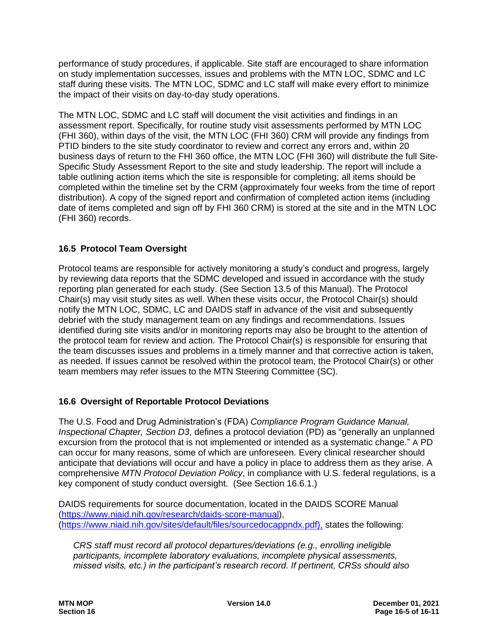performance of study procedures, if applicable. Site staff are encouraged to share information on study implementation successes, issues and problems with the MTN LOC, SDMC and LC staff during these visits. The MTN LOC, SDMC and LC staff will make every effort to minimize the impact of their visits on day-to-day study operations.

The MTN LOC, SDMC and LC staff will document the visit activities and findings in an assessment report. Specifically, for routine study visit assessments performed by MTN LOC (FHI 360), within days of the visit, the MTN LOC (FHI 360) CRM will provide any findings from PTID binders to the site study coordinator to review and correct any errors and, within 20 business days of return to the FHI 360 office, the MTN LOC (FHI 360) will distribute the full Site-Specific Study Assessment Report to the site and study leadership. The report will include a table outlining action items which the site is responsible for completing; all items should be completed within the timeline set by the CRM (approximately four weeks from the time of report distribution). A copy of the signed report and confirmation of completed action items (including date of items completed and sign off by FHI 360 CRM) is stored at the site and in the MTN LOC (FHI 360) records.

### <span id="page-4-0"></span>**16.5 Protocol Team Oversight**

Protocol teams are responsible for actively monitoring a study's conduct and progress, largely by reviewing data reports that the SDMC developed and issued in accordance with the study reporting plan generated for each study. (See Section 13.5 of this Manual). The Protocol Chair(s) may visit study sites as well. When these visits occur, the Protocol Chair(s) should notify the MTN LOC, SDMC, LC and DAIDS staff in advance of the visit and subsequently debrief with the study management team on any findings and recommendations. Issues identified during site visits and/or in monitoring reports may also be brought to the attention of the protocol team for review and action. The Protocol Chair(s) is responsible for ensuring that the team discusses issues and problems in a timely manner and that corrective action is taken, as needed. If issues cannot be resolved within the protocol team, the Protocol Chair(s) or other team members may refer issues to the MTN Steering Committee (SC).

### <span id="page-4-1"></span>**16.6 Oversight of Reportable Protocol Deviations**

The U.S. Food and Drug Administration's (FDA) *Compliance Program Guidance Manual, Inspectional Chapter, Section D3*, defines a protocol deviation (PD) as "generally an unplanned excursion from the protocol that is not implemented or intended as a systematic change." A PD can occur for many reasons, some of which are unforeseen. Every clinical researcher should anticipate that deviations will occur and have a policy in place to address them as they arise. A comprehensive *MTN Protocol Deviation Policy*, in compliance with U.S. federal regulations, is a key component of study conduct oversight. (See Section 16.6.1.)

DAIDS requirements for source documentation, located in the DAIDS SCORE Manual [\(https://www.niaid.nih.gov/research/daids-score-manual\)](https://www.niaid.nih.gov/research/daids-score-manual), [\(https://www.niaid.nih.gov/sites/default/files/sourcedocappndx.pdf\)](https://www.niaid.nih.gov/sites/default/files/sourcedocappndx.pdf), states the following:

*CRS staff must record all protocol departures/deviations (e.g., enrolling ineligible participants, incomplete laboratory evaluations, incomplete physical assessments, missed visits, etc.) in the participant's research record. If pertinent, CRSs should also*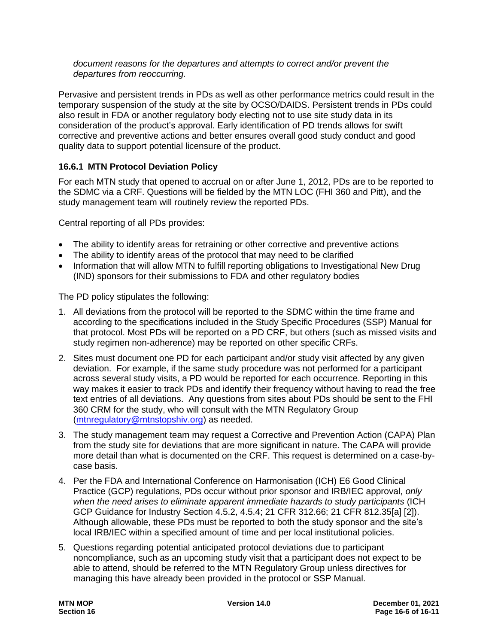*document reasons for the departures and attempts to correct and/or prevent the departures from reoccurring.*

Pervasive and persistent trends in PDs as well as other performance metrics could result in the temporary suspension of the study at the site by OCSO/DAIDS. Persistent trends in PDs could also result in FDA or another regulatory body electing not to use site study data in its consideration of the product's approval. Early identification of PD trends allows for swift corrective and preventive actions and better ensures overall good study conduct and good quality data to support potential licensure of the product.

### **16.6.1 MTN Protocol Deviation Policy**

For each MTN study that opened to accrual on or after June 1, 2012, PDs are to be reported to the SDMC via a CRF. Questions will be fielded by the MTN LOC (FHI 360 and Pitt), and the study management team will routinely review the reported PDs.

Central reporting of all PDs provides:

- The ability to identify areas for retraining or other corrective and preventive actions
- The ability to identify areas of the protocol that may need to be clarified
- Information that will allow MTN to fulfill reporting obligations to Investigational New Drug (IND) sponsors for their submissions to FDA and other regulatory bodies

The PD policy stipulates the following:

- 1. All deviations from the protocol will be reported to the SDMC within the time frame and according to the specifications included in the Study Specific Procedures (SSP) Manual for that protocol. Most PDs will be reported on a PD CRF, but others (such as missed visits and study regimen non-adherence) may be reported on other specific CRFs.
- 2. Sites must document one PD for each participant and/or study visit affected by any given deviation. For example, if the same study procedure was not performed for a participant across several study visits, a PD would be reported for each occurrence. Reporting in this way makes it easier to track PDs and identify their frequency without having to read the free text entries of all deviations. Any questions from sites about PDs should be sent to the FHI 360 CRM for the study, who will consult with the MTN Regulatory Group [\(mtnregulatory@mtnstopshiv.org\)](mailto:mtnregulatory@mtnstopshiv.org) as needed.
- 3. The study management team may request a Corrective and Prevention Action (CAPA) Plan from the study site for deviations that are more significant in nature. The CAPA will provide more detail than what is documented on the CRF. This request is determined on a case-bycase basis.
- 4. Per the FDA and International Conference on Harmonisation (ICH) E6 Good Clinical Practice (GCP) regulations, PDs occur without prior sponsor and IRB/IEC approval, *only when the need arises to eliminate apparent immediate hazards to study participants* (ICH GCP Guidance for Industry Section 4.5.2, 4.5.4; 21 CFR 312.66; 21 CFR 812.35[a] [2]). Although allowable, these PDs must be reported to both the study sponsor and the site's local IRB/IEC within a specified amount of time and per local institutional policies.
- 5. Questions regarding potential anticipated protocol deviations due to participant noncompliance, such as an upcoming study visit that a participant does not expect to be able to attend, should be referred to the MTN Regulatory Group unless directives for managing this have already been provided in the protocol or SSP Manual.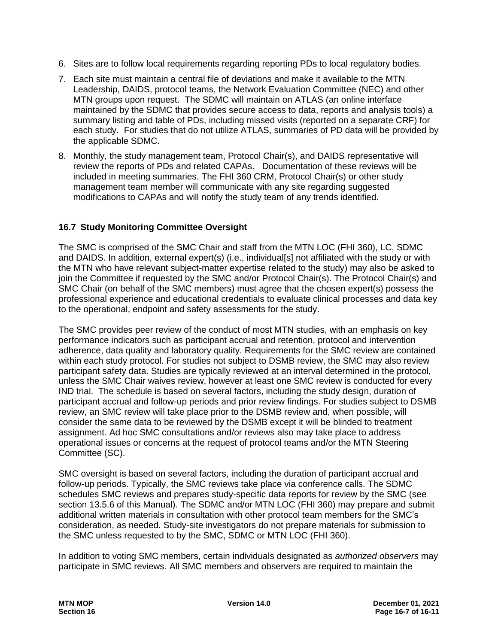- 6. Sites are to follow local requirements regarding reporting PDs to local regulatory bodies.
- 7. Each site must maintain a central file of deviations and make it available to the MTN Leadership, DAIDS, protocol teams, the Network Evaluation Committee (NEC) and other MTN groups upon request. The SDMC will maintain on ATLAS (an online interface maintained by the SDMC that provides secure access to data, reports and analysis tools) a summary listing and table of PDs, including missed visits (reported on a separate CRF) for each study. For studies that do not utilize ATLAS, summaries of PD data will be provided by the applicable SDMC.
- 8. Monthly, the study management team, Protocol Chair(s), and DAIDS representative will review the reports of PDs and related CAPAs. Documentation of these reviews will be included in meeting summaries. The FHI 360 CRM, Protocol Chair(s) or other study management team member will communicate with any site regarding suggested modifications to CAPAs and will notify the study team of any trends identified.

#### <span id="page-6-0"></span>**16.7 Study Monitoring Committee Oversight**

The SMC is comprised of the SMC Chair and staff from the MTN LOC (FHI 360), LC, SDMC and DAIDS. In addition, external expert(s) (i.e., individual[s] not affiliated with the study or with the MTN who have relevant subject-matter expertise related to the study) may also be asked to join the Committee if requested by the SMC and/or Protocol Chair(s). The Protocol Chair(s) and SMC Chair (on behalf of the SMC members) must agree that the chosen expert(s) possess the professional experience and educational credentials to evaluate clinical processes and data key to the operational, endpoint and safety assessments for the study.

The SMC provides peer review of the conduct of most MTN studies, with an emphasis on key performance indicators such as participant accrual and retention, protocol and intervention adherence, data quality and laboratory quality. Requirements for the SMC review are contained within each study protocol. For studies not subject to DSMB review, the SMC may also review participant safety data. Studies are typically reviewed at an interval determined in the protocol, unless the SMC Chair waives review, however at least one SMC review is conducted for every IND trial. The schedule is based on several factors, including the study design, duration of participant accrual and follow-up periods and prior review findings. For studies subject to DSMB review, an SMC review will take place prior to the DSMB review and, when possible, will consider the same data to be reviewed by the DSMB except it will be blinded to treatment assignment. Ad hoc SMC consultations and/or reviews also may take place to address operational issues or concerns at the request of protocol teams and/or the MTN Steering Committee (SC).

SMC oversight is based on several factors, including the duration of participant accrual and follow-up periods. Typically, the SMC reviews take place via conference calls. The SDMC schedules SMC reviews and prepares study-specific data reports for review by the SMC (see section 13.5.6 of this Manual). The SDMC and/or MTN LOC (FHI 360) may prepare and submit additional written materials in consultation with other protocol team members for the SMC's consideration, as needed. Study-site investigators do not prepare materials for submission to the SMC unless requested to by the SMC, SDMC or MTN LOC (FHI 360).

In addition to voting SMC members, certain individuals designated as *authorized observers* may participate in SMC reviews. All SMC members and observers are required to maintain the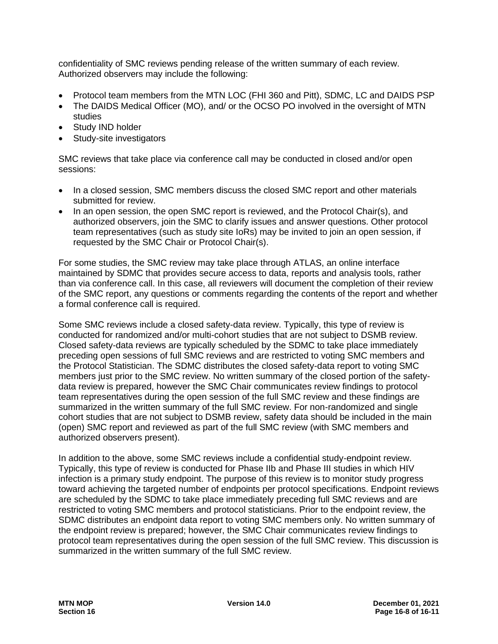confidentiality of SMC reviews pending release of the written summary of each review. Authorized observers may include the following:

- Protocol team members from the MTN LOC (FHI 360 and Pitt), SDMC, LC and DAIDS PSP
- The DAIDS Medical Officer (MO), and/ or the OCSO PO involved in the oversight of MTN studies
- Study IND holder
- Study-site investigators

SMC reviews that take place via conference call may be conducted in closed and/or open sessions:

- In a closed session, SMC members discuss the closed SMC report and other materials submitted for review.
- In an open session, the open SMC report is reviewed, and the Protocol Chair(s), and authorized observers, join the SMC to clarify issues and answer questions. Other protocol team representatives (such as study site IoRs) may be invited to join an open session, if requested by the SMC Chair or Protocol Chair(s).

For some studies, the SMC review may take place through ATLAS, an online interface maintained by SDMC that provides secure access to data, reports and analysis tools, rather than via conference call. In this case, all reviewers will document the completion of their review of the SMC report, any questions or comments regarding the contents of the report and whether a formal conference call is required.

Some SMC reviews include a closed safety-data review. Typically, this type of review is conducted for randomized and/or multi-cohort studies that are not subject to DSMB review. Closed safety-data reviews are typically scheduled by the SDMC to take place immediately preceding open sessions of full SMC reviews and are restricted to voting SMC members and the Protocol Statistician. The SDMC distributes the closed safety-data report to voting SMC members just prior to the SMC review. No written summary of the closed portion of the safetydata review is prepared, however the SMC Chair communicates review findings to protocol team representatives during the open session of the full SMC review and these findings are summarized in the written summary of the full SMC review. For non-randomized and single cohort studies that are not subject to DSMB review, safety data should be included in the main (open) SMC report and reviewed as part of the full SMC review (with SMC members and authorized observers present).

In addition to the above, some SMC reviews include a confidential study-endpoint review. Typically, this type of review is conducted for Phase IIb and Phase III studies in which HIV infection is a primary study endpoint. The purpose of this review is to monitor study progress toward achieving the targeted number of endpoints per protocol specifications. Endpoint reviews are scheduled by the SDMC to take place immediately preceding full SMC reviews and are restricted to voting SMC members and protocol statisticians. Prior to the endpoint review, the SDMC distributes an endpoint data report to voting SMC members only. No written summary of the endpoint review is prepared; however, the SMC Chair communicates review findings to protocol team representatives during the open session of the full SMC review. This discussion is summarized in the written summary of the full SMC review.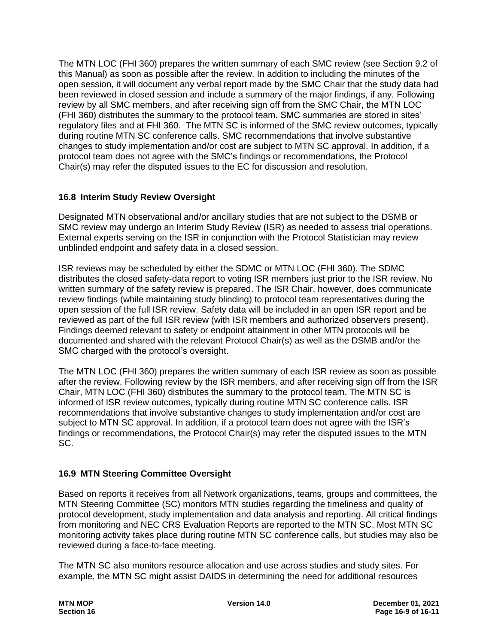The MTN LOC (FHI 360) prepares the written summary of each SMC review (see Section 9.2 of this Manual) as soon as possible after the review. In addition to including the minutes of the open session, it will document any verbal report made by the SMC Chair that the study data had been reviewed in closed session and include a summary of the major findings, if any. Following review by all SMC members, and after receiving sign off from the SMC Chair, the MTN LOC (FHI 360) distributes the summary to the protocol team. SMC summaries are stored in sites' regulatory files and at FHI 360. The MTN SC is informed of the SMC review outcomes, typically during routine MTN SC conference calls. SMC recommendations that involve substantive changes to study implementation and/or cost are subject to MTN SC approval. In addition, if a protocol team does not agree with the SMC's findings or recommendations, the Protocol Chair(s) may refer the disputed issues to the EC for discussion and resolution.

### <span id="page-8-0"></span>**16.8 Interim Study Review Oversight**

Designated MTN observational and/or ancillary studies that are not subject to the DSMB or SMC review may undergo an Interim Study Review (ISR) as needed to assess trial operations. External experts serving on the ISR in conjunction with the Protocol Statistician may review unblinded endpoint and safety data in a closed session.

ISR reviews may be scheduled by either the SDMC or MTN LOC (FHI 360). The SDMC distributes the closed safety-data report to voting ISR members just prior to the ISR review. No written summary of the safety review is prepared. The ISR Chair, however, does communicate review findings (while maintaining study blinding) to protocol team representatives during the open session of the full ISR review. Safety data will be included in an open ISR report and be reviewed as part of the full ISR review (with ISR members and authorized observers present). Findings deemed relevant to safety or endpoint attainment in other MTN protocols will be documented and shared with the relevant Protocol Chair(s) as well as the DSMB and/or the SMC charged with the protocol's oversight.

The MTN LOC (FHI 360) prepares the written summary of each ISR review as soon as possible after the review. Following review by the ISR members, and after receiving sign off from the ISR Chair, MTN LOC (FHI 360) distributes the summary to the protocol team. The MTN SC is informed of ISR review outcomes, typically during routine MTN SC conference calls. ISR recommendations that involve substantive changes to study implementation and/or cost are subject to MTN SC approval. In addition, if a protocol team does not agree with the ISR's findings or recommendations, the Protocol Chair(s) may refer the disputed issues to the MTN SC.

### <span id="page-8-1"></span>**16.9 MTN Steering Committee Oversight**

Based on reports it receives from all Network organizations, teams, groups and committees, the MTN Steering Committee (SC) monitors MTN studies regarding the timeliness and quality of protocol development, study implementation and data analysis and reporting. All critical findings from monitoring and NEC CRS Evaluation Reports are reported to the MTN SC. Most MTN SC monitoring activity takes place during routine MTN SC conference calls, but studies may also be reviewed during a face-to-face meeting.

The MTN SC also monitors resource allocation and use across studies and study sites. For example, the MTN SC might assist DAIDS in determining the need for additional resources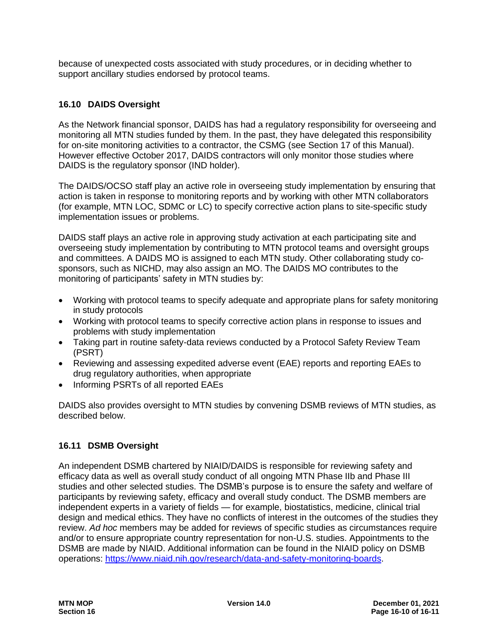because of unexpected costs associated with study procedures, or in deciding whether to support ancillary studies endorsed by protocol teams.

# <span id="page-9-0"></span>**16.10 DAIDS Oversight**

As the Network financial sponsor, DAIDS has had a regulatory responsibility for overseeing and monitoring all MTN studies funded by them. In the past, they have delegated this responsibility for on-site monitoring activities to a contractor, the CSMG (see Section 17 of this Manual). However effective October 2017, DAIDS contractors will only monitor those studies where DAIDS is the regulatory sponsor (IND holder).

The DAIDS/OCSO staff play an active role in overseeing study implementation by ensuring that action is taken in response to monitoring reports and by working with other MTN collaborators (for example, MTN LOC, SDMC or LC) to specify corrective action plans to site-specific study implementation issues or problems.

DAIDS staff plays an active role in approving study activation at each participating site and overseeing study implementation by contributing to MTN protocol teams and oversight groups and committees. A DAIDS MO is assigned to each MTN study. Other collaborating study cosponsors, such as NICHD, may also assign an MO. The DAIDS MO contributes to the monitoring of participants' safety in MTN studies by:

- Working with protocol teams to specify adequate and appropriate plans for safety monitoring in study protocols
- Working with protocol teams to specify corrective action plans in response to issues and problems with study implementation
- Taking part in routine safety-data reviews conducted by a Protocol Safety Review Team (PSRT)
- Reviewing and assessing expedited adverse event (EAE) reports and reporting EAEs to drug regulatory authorities, when appropriate
- Informing PSRTs of all reported EAEs

DAIDS also provides oversight to MTN studies by convening DSMB reviews of MTN studies, as described below.

# <span id="page-9-1"></span>**16.11 DSMB Oversight**

An independent DSMB chartered by NIAID/DAIDS is responsible for reviewing safety and efficacy data as well as overall study conduct of all ongoing MTN Phase IIb and Phase III studies and other selected studies. The DSMB's purpose is to ensure the safety and welfare of participants by reviewing safety, efficacy and overall study conduct. The DSMB members are independent experts in a variety of fields — for example, biostatistics, medicine, clinical trial design and medical ethics. They have no conflicts of interest in the outcomes of the studies they review. *Ad hoc* members may be added for reviews of specific studies as circumstances require and/or to ensure appropriate country representation for non-U.S. studies. Appointments to the DSMB are made by NIAID. Additional information can be found in the NIAID policy on DSMB operations: https://www.niaid.nih.gov/research/data-and-safety-monitoring-boards.